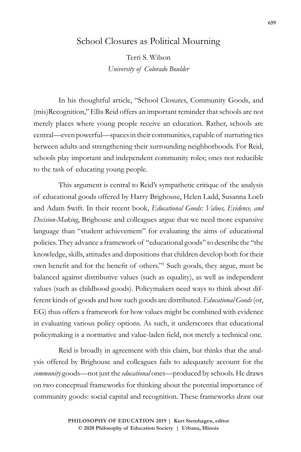## School Closures as Political Mourning

Terri S. Wilson *University of Colorado Boulder*

In his thoughtful article, "School Closures, Community Goods, and (mis)Recognition," Ellis Reid offers an important reminder that schools are not merely places where young people receive an education. Rather, schools are central—even powerful—spaces in their communities, capable of nurturing ties between adults and strengthening their surrounding neighborhoods. For Reid, schools play important and independent community roles; ones not reducible to the task of educating young people.

This argument is central to Reid's sympathetic critique of the analysis of educational goods offered by Harry Brighouse, Helen Ladd, Susanna Loeb and Adam Swift. In their recent book, *Educational Goods: Values, Evidence, and Decision-Making*, Brighouse and colleagues argue that we need more expansive language than "student achievement" for evaluating the aims of educational policies. They advance a framework of "educational goods" to describe the "the knowledge, skills, attitudes and dispositions that children develop both for their own benefit and for the benefit of others."<sup>1</sup> Such goods, they argue, must be balanced against distributive values (such as equality), as well as independent values (such as childhood goods). Policymakers need ways to think about different kinds of goods and how such goods are distributed. *Educational Goods* (or, EG) thus offers a framework for how values might be combined with evidence in evaluating various policy options. As such, it underscores that educational policymaking is a normative and value-laden field, not merely a technical one.

Reid is broadly in agreement with this claim, but thinks that the analysis offered by Brighouse and colleagues fails to adequately account for the *community* goods—not just the *educational* ones—produced by schools. He draws on two conceptual frameworks for thinking about the potential importance of community goods: social capital and recognition. These frameworks draw our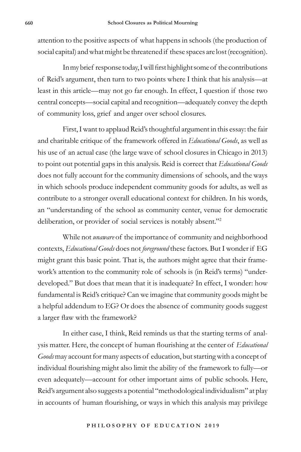attention to the positive aspects of what happens in schools (the production of social capital) and what might be threatened if these spaces are lost (recognition).

In my brief response today, I will first highlight some of the contributions of Reid's argument, then turn to two points where I think that his analysis—at least in this article—may not go far enough. In effect, I question if those two central concepts—social capital and recognition—adequately convey the depth of community loss, grief and anger over school closures.

First, I want to applaud Reid's thoughtful argument in this essay: the fair and charitable critique of the framework offered in *Educational Goods*, as well as his use of an actual case (the large wave of school closures in Chicago in 2013) to point out potential gaps in this analysis. Reid is correct that *Educational Goods*  does not fully account for the community dimensions of schools, and the ways in which schools produce independent community goods for adults, as well as contribute to a stronger overall educational context for children. In his words, an "understanding of the school as community center, venue for democratic deliberation, or provider of social services is notably absent."2

While not *unaware* of the importance of community and neighborhood contexts, *Educational Goods* does not *foreground* these factors. But I wonder if EG might grant this basic point. That is, the authors might agree that their framework's attention to the community role of schools is (in Reid's terms) "underdeveloped." But does that mean that it is inadequate? In effect, I wonder: how fundamental is Reid's critique? Can we imagine that community goods might be a helpful addendum to EG? Or does the absence of community goods suggest a larger flaw with the framework?

In either case, I think, Reid reminds us that the starting terms of analysis matter. Here, the concept of human flourishing at the center of *Educational Goods* may account for many aspects of education, but starting with a concept of individual flourishing might also limit the ability of the framework to fully—or even adequately—account for other important aims of public schools. Here, Reid's argument also suggests a potential "methodological individualism" at play in accounts of human flourishing, or ways in which this analysis may privilege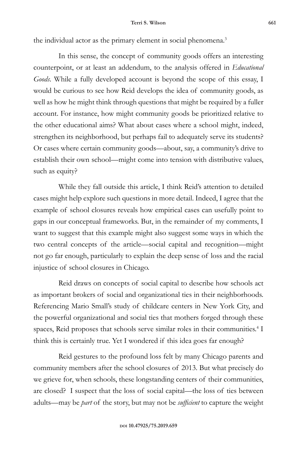the individual actor as the primary element in social phenomena.<sup>3</sup>

In this sense, the concept of community goods offers an interesting counterpoint, or at least an addendum, to the analysis offered in *Educational Goods*. While a fully developed account is beyond the scope of this essay, I would be curious to see how Reid develops the idea of community goods, as well as how he might think through questions that might be required by a fuller account. For instance, how might community goods be prioritized relative to the other educational aims? What about cases where a school might, indeed, strengthen its neighborhood, but perhaps fail to adequately serve its students? Or cases where certain community goods—about, say, a community's drive to establish their own school—might come into tension with distributive values, such as equity?

While they fall outside this article, I think Reid's attention to detailed cases might help explore such questions in more detail. Indeed, I agree that the example of school closures reveals how empirical cases can usefully point to gaps in our conceptual frameworks. But, in the remainder of my comments, I want to suggest that this example might also suggest some ways in which the two central concepts of the article—social capital and recognition—might not go far enough, particularly to explain the deep sense of loss and the racial injustice of school closures in Chicago.

Reid draws on concepts of social capital to describe how schools act as important brokers of social and organizational ties in their neighborhoods. Referencing Mario Small's study of childcare centers in New York City, and the powerful organizational and social ties that mothers forged through these spaces, Reid proposes that schools serve similar roles in their communities.<sup>4</sup> I think this is certainly true. Yet I wondered if this idea goes far enough?

Reid gestures to the profound loss felt by many Chicago parents and community members after the school closures of 2013. But what precisely do we grieve for, when schools, these longstanding centers of their communities, are closed? I suspect that the loss of social capital—the loss of ties between adults—may be *part* of the story, but may not be *sufficient* to capture the weight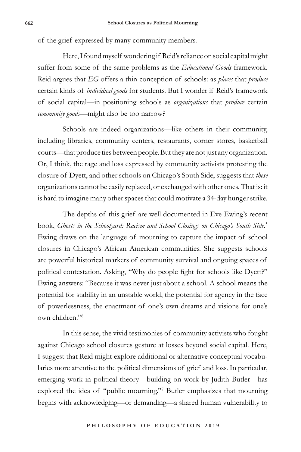of the grief expressed by many community members.

Here, I found myself wondering if Reid's reliance on social capital might suffer from some of the same problems as the *Educational Goods* framework. Reid argues that *EG* offers a thin conception of schools: as *places* that *produce*  certain kinds of *individual goods* for students. But I wonder if Reid's framework of social capital—in positioning schools as *organizations* that *produce* certain *community goods*—might also be too narrow?

Schools are indeed organizations—like others in their community, including libraries, community centers, restaurants, corner stores, basketball courts—that produce ties between people. But they are not just any organization. Or, I think, the rage and loss expressed by community activists protesting the closure of Dyett, and other schools on Chicago's South Side, suggests that *these* organizations cannot be easily replaced, or exchanged with other ones. That is: it is hard to imagine many other spaces that could motivate a 34-day hunger strike.

The depths of this grief are well documented in Eve Ewing's recent book, *Ghosts in the Schoolyard: Racism and School Closings on Chicago's South Side*. 5 Ewing draws on the language of mourning to capture the impact of school closures in Chicago's African American communities. She suggests schools are powerful historical markers of community survival and ongoing spaces of political contestation. Asking, "Why do people fight for schools like Dyett?" Ewing answers: "Because it was never just about a school. A school means the potential for stability in an unstable world, the potential for agency in the face of powerlessness, the enactment of one's own dreams and visions for one's own children."6

In this sense, the vivid testimonies of community activists who fought against Chicago school closures gesture at losses beyond social capital. Here, I suggest that Reid might explore additional or alternative conceptual vocabularies more attentive to the political dimensions of grief and loss. In particular, emerging work in political theory—building on work by Judith Butler—has explored the idea of "public mourning."7 Butler emphasizes that mourning begins with acknowledging—or demanding—a shared human vulnerability to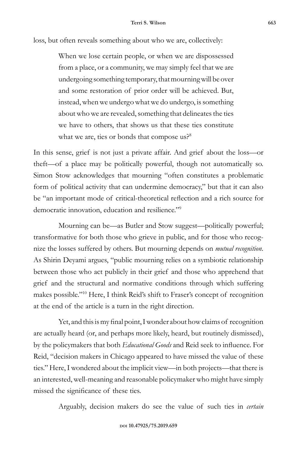loss, but often reveals something about who we are, collectively:

When we lose certain people, or when we are dispossessed from a place, or a community, we may simply feel that we are undergoing something temporary, that mourning will be over and some restoration of prior order will be achieved. But, instead, when we undergo what we do undergo, is something about who we are revealed, something that delineates the ties we have to others, that shows us that these ties constitute what we are, ties or bonds that compose us?<sup>8</sup>

In this sense, grief is not just a private affair. And grief about the loss—or theft—of a place may be politically powerful, though not automatically so. Simon Stow acknowledges that mourning "often constitutes a problematic form of political activity that can undermine democracy," but that it can also be "an important mode of critical-theoretical reflection and a rich source for democratic innovation, education and resilience."9

Mourning can be—as Butler and Stow suggest—politically powerful; transformative for both those who grieve in public, and for those who recognize the losses suffered by others. But mourning depends on *mutual recognition*. As Shirin Deyami argues, "public mourning relies on a symbiotic relationship between those who act publicly in their grief and those who apprehend that grief and the structural and normative conditions through which suffering makes possible."10 Here, I think Reid's shift to Fraser's concept of recognition at the end of the article is a turn in the right direction.

Yet, and this is my final point, I wonder about how claims of recognition are actually heard (or, and perhaps more likely, heard, but routinely dismissed), by the policymakers that both *Educational Goods* and Reid seek to influence. For Reid, "decision makers in Chicago appeared to have missed the value of these ties." Here, I wondered about the implicit view—in both projects—that there is an interested, well-meaning and reasonable policymaker who might have simply missed the significance of these ties.

Arguably, decision makers do see the value of such ties in *certain*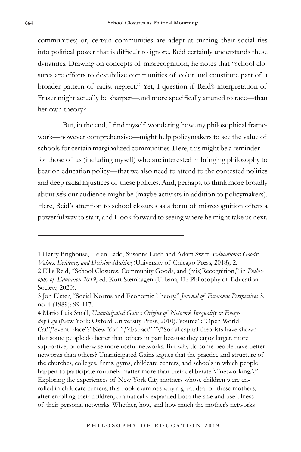communities; or, certain communities are adept at turning their social ties into political power that is difficult to ignore. Reid certainly understands these dynamics. Drawing on concepts of misrecognition, he notes that "school closures are efforts to destabilize communities of color and constitute part of a broader pattern of racist neglect." Yet, I question if Reid's interpretation of Fraser might actually be sharper—and more specifically attuned to race—than her own theory?

But, in the end, I find myself wondering how any philosophical framework—however comprehensive—might help policymakers to see the value of schools for certain marginalized communities. Here, this might be a reminder for those of us (including myself) who are interested in bringing philosophy to bear on education policy—that we also need to attend to the contested politics and deep racial injustices of these policies. And, perhaps, to think more broadly about *who* our audience might be (maybe activists in addition to policymakers). Here, Reid's attention to school closures as a form of misrecognition offers a powerful way to start, and I look forward to seeing where he might take us next.

<sup>1</sup> Harry Brighouse, Helen Ladd, Susanna Loeb and Adam Swift, *Educational Goods: Values, Evidence, and Decision-Making* (University of Chicago Press, 2018), 2.

<sup>2</sup> Ellis Reid, "School Closures, Community Goods, and (mis)Recognition," in *Philosophy of Education 2019*, ed. Kurt Stemhagen (Urbana, IL: Philosophy of Education Society, 2020).

<sup>3</sup> Jon Elster, "Social Norms and Economic Theory," *Journal of Economic Perspectives* 3, no. 4 (1989): 99-117.

<sup>4</sup> Mario Luis Small, *Unanticipated Gains: Origins of Network Inequality in Everyday Life* (New York: Oxford University Press, 2010)."source":"Open World-Cat","event-place":"New York","abstract":"\"Social capital theorists have shown that some people do better than others in part because they enjoy larger, more supportive, or otherwise more useful networks. But why do some people have better networks than others? Unanticipated Gains argues that the practice and structure of the churches, colleges, firms, gyms, childcare centers, and schools in which people happen to participate routinely matter more than their deliberate \"networking.\" Exploring the experiences of New York City mothers whose children were enrolled in childcare centers, this book examines why a great deal of these mothers, after enrolling their children, dramatically expanded both the size and usefulness of their personal networks. Whether, how, and how much the mother's networks